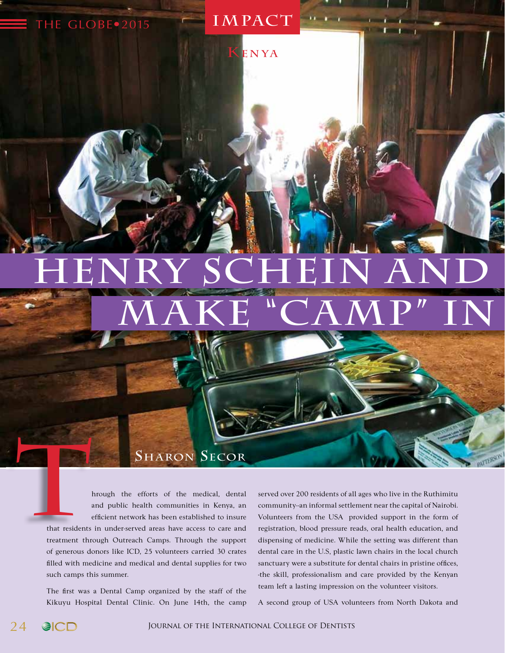## HENRY SCHEIN AND  $\overline{\text{MAKE}}$  "CAMP" IN

**IMPACT**

**Contact of the Contact of the Contact of the Contact of the Contact of the Contact of the Contact of the Contact of the Contact of the Contact of the Contact of the Contact of the Contact of The Contact of The Contact of** 

**K E N Y A**

hrough the efforts of the medical, dental and public health communities in Kenya, an efficient network has been established to insure

that residents in under-served areas have access to care and treatment through Outreach Camps. Through the support of generous donors like ICD, 25 volunteers carried 30 crates filled with medicine and medical and dental supplies for two such camps this summer.

THE GLOBE · 2015

The first was a Dental Camp organized by the staff of the Kikuyu Hospital Dental Clinic. On June 14th, the camp

**SHARON SECOR**<br> **THE RON SECOR THE SECOR THE SECOR THE SECOR THE SECOR** *THE SECORD INCREDI THE SECORD INCREDI THE SECORD INCREDI THE SECORD INCREDI THE SECORD INCREDI THE SECORD INCREDI THE SECORD INCR* community--an informal settlement near the capital of Nairobi. Volunteers from the USA provided support in the form of registration, blood pressure reads, oral health education, and dispensing of medicine. While the setting was different than dental care in the U.S, plastic lawn chairs in the local church sanctuary were a substitute for dental chairs in pristine offices, -the skill, professionalism and care provided by the Kenyan team left a lasting impression on the volunteer visitors.

A second group of USA volunteers from North Dakota and